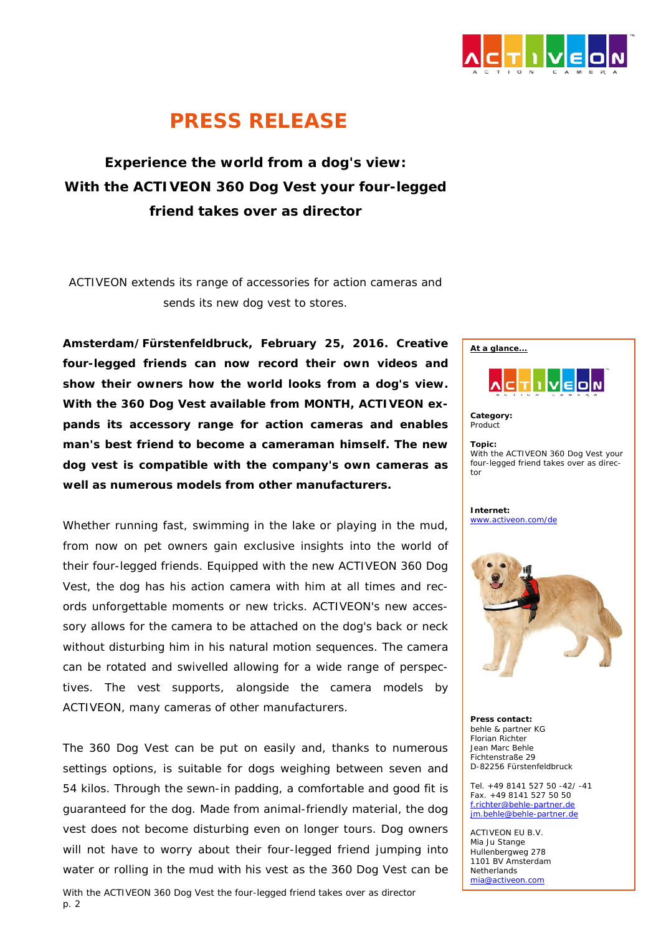

## *PRESS RELEASE*

**Experience the world from a dog's view: With the ACTIVEON 360 Dog Vest your four-legged friend takes over as director**

*ACTIVEON extends its range of accessories for action cameras and sends its new dog vest to stores.*

**Amsterdam/Fürstenfeldbruck, February 25, 2016. Creative four-legged friends can now record their own videos and show their owners how the world looks from a dog's view. With the 360 Dog Vest available from MONTH, ACTIVEON expands its accessory range for action cameras and enables man's best friend to become a cameraman himself. The new dog vest is compatible with the company's own cameras as well as numerous models from other manufacturers.**

Whether running fast, swimming in the lake or playing in the mud, from now on pet owners gain exclusive insights into the world of their four-legged friends. Equipped with the new ACTIVEON 360 Dog Vest, the dog has his action camera with him at all times and records unforgettable moments or new tricks. ACTIVEON's new accessory allows for the camera to be attached on the dog's back or neck without disturbing him in his natural motion sequences. The camera can be rotated and swivelled allowing for a wide range of perspectives. The vest supports, alongside the camera models by ACTIVEON, many cameras of other manufacturers.

The 360 Dog Vest can be put on easily and, thanks to numerous settings options, is suitable for dogs weighing between seven and 54 kilos. Through the sewn-in padding, a comfortable and good fit is guaranteed for the dog. Made from animal-friendly material, the dog vest does not become disturbing even on longer tours. Dog owners will not have to worry about their four-legged friend jumping into water or rolling in the mud with his vest as the 360 Dog Vest can be



**Category:** Product

**Topic:**  With the ACTIVEON 360 Dog Vest your four-legged friend takes over as director

**Internet:** [www.activeon.com/de](http://www.activeon.com/de)



**Press contact:** behle & partner KG Florian Richter Jean Marc Behle Fichtenstraße 29 D-82256 Fürstenfeldbruck

Tel. +49 8141 527 50 -42/ -41 Fax. +49 8141 527 50 50 [f.richter@behle-partner.de](mailto:f.richter@behle-partner.de) [jm.behle@behle-partner.de](mailto:jm.behle@behle-partner.de)

ACTIVEON EU B.V. Mia Ju Stange Hullenbergweg 278 1101 BV Amsterdam **Netherlands** [mia@activeon.com](mailto:mia@activeon.com)